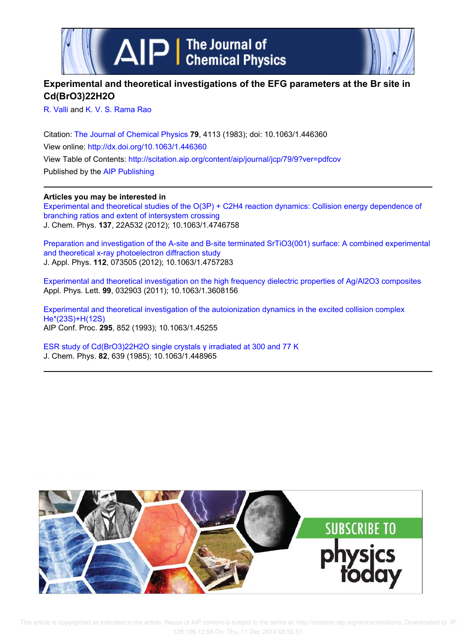

## **Experimental and theoretical investigations of the EFG parameters at the Br site in Cd(BrO3)22H2O**

R. Valli and K. V. S. Rama Rao

Citation: The Journal of Chemical Physics **79**, 4113 (1983); doi: 10.1063/1.446360 View online: http://dx.doi.org/10.1063/1.446360 View Table of Contents: http://scitation.aip.org/content/aip/journal/jcp/79/9?ver=pdfcov Published by the AIP Publishing

## **Articles you may be interested in**

Experimental and theoretical studies of the O(3P) + C2H4 reaction dynamics: Collision energy dependence of branching ratios and extent of intersystem crossing J. Chem. Phys. **137**, 22A532 (2012); 10.1063/1.4746758

Preparation and investigation of the A-site and B-site terminated SrTiO3(001) surface: A combined experimental and theoretical x-ray photoelectron diffraction study J. Appl. Phys. **112**, 073505 (2012); 10.1063/1.4757283

Experimental and theoretical investigation on the high frequency dielectric properties of Ag/Al2O3 composites Appl. Phys. Lett. **99**, 032903 (2011); 10.1063/1.3608156

Experimental and theoretical investigation of the autoionization dynamics in the excited collision complex He\*(23S)+H(12S) AIP Conf. Proc. **295**, 852 (1993); 10.1063/1.45255

ESR study of Cd(BrO3)22H2O single crystals γ irradiated at 300 and 77 K J. Chem. Phys. **82**, 639 (1985); 10.1063/1.448965

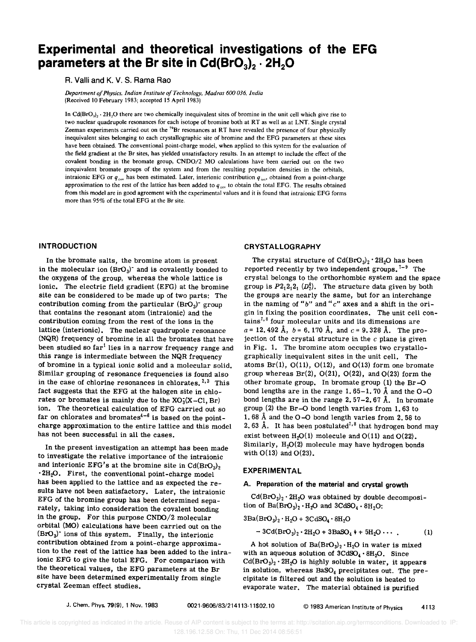# **Experimental and theoretical investigations of the EFG parameters at the Br site in Cd(Br0<sup>3</sup> )2 . 2H20**

R. Valli and K. V. S. Rama Rao

*Department of Physics. Indian Institute of Technology. Madras 600 036. India*  (Received 10 February 1983; accepted 15 April 1983)

In  $Cd(BCO<sub>3</sub>)<sub>2</sub> \cdot 2H<sub>2</sub>O$  there are two chemically inequivalent sites of bromine in the unit cell which give rise to two nuclear quadrupole resonances for each isotope of bromine both at RT as well as at LNT. Single crystal Zeeman experiments carried out on the <sup>79</sup>Br resonances at RT have revealed the presence of four physically inequivalent sites belonging to each crystallographic site of bromine and the EFG parameters at these sites have been obtained. The conventional point-charge model, when applied to this system for the evaluation of the field gradient at the Br sites, has yielded unsatisfactory results. In an attempt to include the effect of the covalent bonding in the bromate group, CNDO/2 MO calculations have been carried out on the two inequivalent bromate groups of the system and from the resulting population densities in the orbitals, intraionic EFG or  $q_{\text{cov}}$  has been estimated. Later, interionic contribution  $q_{\text{iso}}$ , obtained from a point-charge approximation to the rest of the lattice has been added to  $q_{cov}$  to obtain the total EFG. The results obtained from this model are in good agreement with the experimental values and it is found that intraionic EFG forms more than 95% of the total EFG at the Br site.

#### **INTRODUCTION**

In the bromate salts, the bromine atom is present in the molecular ion  $(BrO<sub>3</sub>)$ <sup>-</sup> and is covalently bonded to the oxygens of the group, whereas the whole lattice is ionic. The electric field gradient (EFG) at the bromine site can be considered to be made up of two parts: The contribution coming from the particular  $(BrO<sub>3</sub>)$ <sup>-</sup> group that contains the resonant atom (intraionic) and the contribution coming from the rest of the ions in the lattice (interionic). The nuclear quadrupole resonance (NQR) frequency of bromine in all the bromates that have been studied so  $far<sup>1</sup>$  lies in a narrow frequency range and this range is intermediate between the NQR frequency of bromine in a typical ionic solid and a molecular solid. Similar grouping of resonance frequencies is found also in the case of chlorine resonances in chlorates.  $2,3$  This fact suggests that the EFG at the halogen site in chlorates or bromates is mainly due to the  $XO<sub>3</sub>(X-Cl, Br)$ ion. The theoretical calculation of EFG carried out so far on chlorates and bromates<sup>4-6</sup> is based on the pointcharge approximation to the entire lattice and this model has not been successful in all the cases.

In the present investigation an attempt has been made to investigate the relative importance of the intraionic and interionic EFG's at the bromine site in  $Cd(BrO<sub>3</sub>)<sub>2</sub>$  $2H_2O$ . First, the conventional point-charge model has been applied to the lattice and as expected the results have not been satisfactory. Later, the intraionic EFG of the bromine group has been determined separately, taking into consideration the covalent bonding in the group. For this purpose CNOO/2 molecular orbital (MO) calculations have been carried out on the  $(BrO<sub>3</sub>)$ <sup>-</sup> ions of this system. Finally, the interionic contribution obtained from a point-charge approximation to the rest of the lattice has been added to the intraionic EFG to give the total EFG. For comparison with the theoretical values, the EFG parameters at the Br site have been determined experimentally from single crystal Zeeman effect studies.

## CRYSTALLOGRAPHY

The crystal structure of  $Cd(BrO<sub>3</sub>)<sub>2</sub> \cdot 2H<sub>2</sub>O$  has been reported recently by two independent groups.  $7-9$  The crystal belongs to the orthorhombic system and the space group is  $P2_12_12_1 (D_2^4)$ . The structure data given by both the groups are nearly the same, but for an interchange in the naming of " $b$ " and " $c$ " axes and a shift in the origin in fixing the position coordinates. The unit cell contains<sup> $7,8$ </sup> four molecular units and its dimensions are  $a = 12,492 \text{ Å}, b = 6,170 \text{ Å}, \text{ and } c = 9,328 \text{ Å}.$  The projection of the crystal structure in the *c* plane is given in Fig. 1. The bromine atom occupies two crystallographically inequivalent sites in the unit cell. The atoms  $Br(1)$ ,  $O(11)$ ,  $O(12)$ , and  $O(13)$  form one bromate group whereas  $Br(2)$ ,  $O(21)$ ,  $O(22)$ , and  $O(23)$  form the other bromate group. In bromate group (1) the Br-O bond lengths are in the range 1.65-1.70 Å and the  $O-O$ bond lengths are in the range  $2.57-2.67$  Å. In bromate group (2) the Br-O bond length varies from 1. 63 to 1. 68 Å and the  $O-O$  bond length varies from 2.58 to 2.63 Å. It has been postulated<sup>7,8</sup> that hydrogen bond may exist between  $H_2O(1)$  molecule and  $O(11)$  and  $O(22)$ . Similarly,  $H_2O(2)$  molecule may have hydrogen bonds with  $O(13)$  and  $O(23)$ .

#### EXPERIMENTAL

## A. Preparation of the material and crystal growth

 $Cd(BrO<sub>3</sub>)<sub>2</sub> \cdot 2H<sub>2</sub>O$  was obtained by double decomposition of  $Ba(BrO<sub>3</sub>)<sub>2</sub> · H<sub>2</sub>O$  and  $3CdSO<sub>4</sub> · 8H<sub>2</sub>O$ :

$$
3\text{Ba}(\text{BrO}_3)_2 \cdot \text{H}_2\text{O} + 3\text{CdSO}_4 \cdot 8\text{H}_2\text{O}
$$

$$
-3Cd(BrO3)2 \cdot 2H2O + 3BaSO4 + 5H2O \cdots
$$
 (1)

A hot solution of  $Ba(BrO<sub>3</sub>)<sub>2</sub> · H<sub>2</sub>O$  in water is mixed with an aqueous solution of  $3CdSO_4 \cdot 8H_2O$ . Since  $Cd(BrO<sub>3</sub>)<sub>2</sub> · 2H<sub>2</sub>O$  is highly soluble in water, it appears in solution, whereas  $BASO<sub>4</sub>$  precipitates out. The precipitate is filtered out and the solution is heated to evaporate water. The material obtained is purified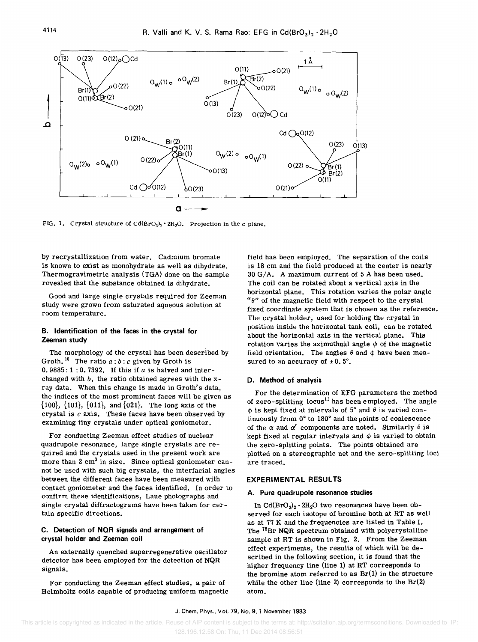

FIG. 1. Crystal structure of  $Cd(BrO<sub>3</sub>)<sub>2</sub> \cdot 2H<sub>2</sub>O$ . Projection in the c plane.

by recrystallization from water. Cadmium bromate is known to exist as monohydrate as well as dihydrate. Thermogravimetric analysis (TGA) done on the sample revealed that the substance obtained is dihydrate.

Good and large single crystals required for Zeeman study were grown from saturated aqueous solution at room temperature.

## B. Identification of the faces in the crystal for Zeeman study

The morphology of the crystal has been described by Groth.<sup>10</sup> The ratio  $a:b:c$  given by Groth is 0.9885: 1 : O. 7392. If this if *a* is halved and interchanged with *b,* the ratio obtained agrees with the xray data. When this change is made in Groth's data, the indices of the most prominent faces will be given as  $\{100\}$ ,  $\{101\}$ ,  $\{011\}$ , and  $\{021\}$ . The long axis of the crystal is *c* axis. These faces have been observed by examining tiny crystals under optical goniometer.

For conducting Zeeman effect studies of nuclear quadrupole resonance, large single crystals are required and the crystals used in the present work are more than  $2 \text{ cm}^3$  in size. Since optical goniometer cannot be used with such big crystals, the interfacial angles between the different faces have been measured with contact goniometer and the faces identified. In order to confirm these identifications, Laue photographs and single crystal diffractograms have been taken for certain specific directions.

#### C. Detection of NOR signals and arrangement of crystal holder and Zeeman coil

An externally quenched superregenerative oscillator detector has been employed for the detection of NQR signals.

For conducting the Zeeman effect studies, a pair of Helmholtz coils capable of producing uniform magnetic field has been employed. The separation of the coils is 18 cm and the field produced at the center is nearly 30 G/A. A maximum current of 5 A has been used. The coil can be rotated about a vertical axis in the horizontal plane. This rotation varies the polar angle " $\theta$ " of the magnetic field with respect to the crystal fixed coordinate system that is chosen as the reference. The crystal holder, used for holding the crystal in position inside the horizontal tank coil, can be rotated about the horizontal axis in the vertical plane. This rotation varies the azimuthual angle  $\phi$  of the magnetic field orientation. The angles  $\theta$  and  $\phi$  have been measured to an accuracy of  $\pm 0.5^\circ$ .

#### D. Method of analysis

For the determination of EFG parameters the method of zero-splitting  $locus<sup>11</sup>$  has been employed. The angle  $\phi$  is kept fixed at intervals of 5° and  $\theta$  is varied continuously from 0° to 180° and the points of coalescence of the  $\alpha$  and  $\alpha'$  components are noted. Similarly  $\theta$  is kept fixed at regular intervals and  $\phi$  is varied to obtain the zero-splitting points. The points obtained are plotted on a stereographic net and the zero-splitting loci are traced.

#### EXPERIMENTAL RESULTS

#### A. Pure quadrupole resonance studies

In  $\text{Cd}(\text{BrO}_3)_2 \cdot 2\text{H}_2\text{O}$  two resonances have been observed for each isotope of bromine both at RT as well as at 77 K and the frequencies are listed in Table I. The <sup>79</sup>Br NQR spectrum obtained with polycrystalline sample at RT is shown in Fig. 2. From the Zeeman effect experiments, the results of which will be described in the following section, it is found that the higher frequency line (line 1) at RT corresponds to the bromine atom referred to as  $Br(1)$  in the structure while the other line (line 2) corresponds to the Br(2) atom.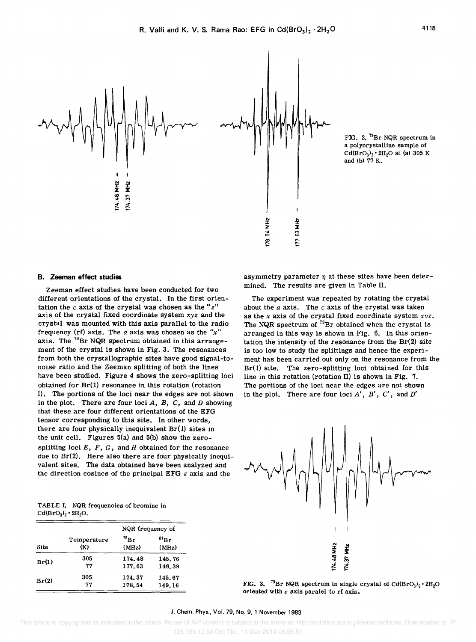

FIG. 2. <sup>79</sup>Br NQR spectrum in a polycrystalline sample of  $Cd(BrO<sub>3</sub>)<sub>2</sub> \cdot 2H<sub>2</sub>O$  at (a) 305 K and (b) 77 K.

#### B. Zeeman effect studies

Zeeman effect studies have been conducted for two different orientations of the crystal. In the first orientation the  $c$  axis of the crystal was chosen as the " $z$ " axis of the crystal fixed coordinate system *xyz* and the crystal was mounted with this axis parallel to the radio frequency (rf) axis. The *a* axis was chosen as the *"x"*  axis. The  $^{79}$ Br NQR spectrum obtained in this arrangement of the crystal is shown in Fig. 3. The resonances from both the crystallographic sites have good signal-tonoise ratio and the Zeeman splitting of both the lines have been studied. Figure 4 shows the zero-splitting loci obtained for Br(l) resonance in this rotation (rotation I). The portions of the loci near the edges are not shown in the plot. There are four loci *A, B,* C, and *D* showing that these are four different orientations of the EFG tensor corresponding to this site. In other words, there are four physically inequivalent Br(1) sites in the unit cell. Figures 5(a) and 5(b) show the zerosplitting loci *E, F,* G, and *H* obtained for the resonance due to Br(2). Here also there are four physically inequivalent sites. The data obtained have been analyzed and the direction cosines of the principal EFG *z* axis and the

| mined. The results are given in Table II.           |
|-----------------------------------------------------|
| The experiment was repeated by rotating the crystal |

asymmetry parameter  $\eta$  at these sites have been deter-

experiment was repeated by rotating the crystal about the *a* axis. The *c* axis of the crystal was taken as the *x* axis of the crystal fixed coordinate system *xyz.*  The NQR spectrum of  $^{79}Br$  obtained when the crystal is arranged in this way is shown in Fig. 6. In this orientation the intensity of the resonance from the  $Br(2)$  site is too low to study the splittings and hence the experiment has been carried out only on the resonance from the Br(1) site. The zero-splitting loci obtained for this line in this rotation (rotation II) is shown in Fig. 7. The portions of the loci near the edges are not shown in the plot. There are four loci *A', B', C',* and *D'* 



TABLE I. NQR frequencies of bromine in  $Cd(BrO<sub>3</sub>)<sub>2</sub> \cdot 2H<sub>2</sub>O.$ 

|       |                    | NQR frequency of    |                             |
|-------|--------------------|---------------------|-----------------------------|
| Site  | Temperature<br>(K) | $^{79}$ Br<br>(MHz) | ${}^{81}\text{Br}$<br>(MHz) |
| Br(1) | 305                | 174.48              | 145.76                      |
|       | 77                 | 177.63              | 148.39                      |
|       | 305                | 174.37              | 145.67                      |
| Br(2) | 77                 | 178.54              | 149.16                      |

FIG. 3. <sup>79</sup>Br NQR spectrum in single crystal of Cd(BrO<sub>3</sub>)<sub>2</sub> · 2H<sub>2</sub>O oriented with  $c$  axis paralel to rf axis.

#### J. Chern. Phys., Vol. 79, No.9, 1 November 1983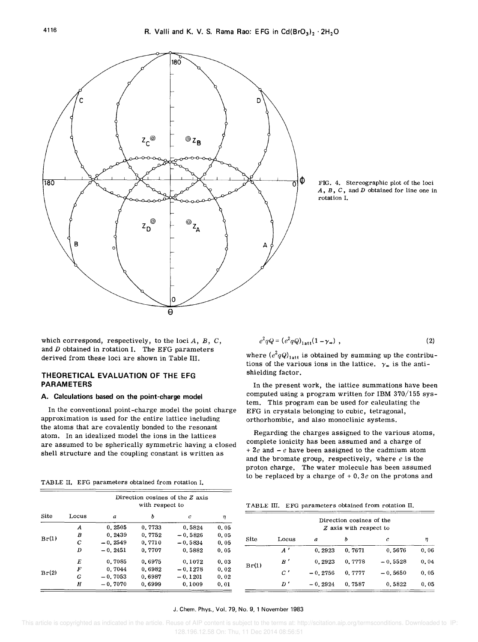

FIG. 4. Stereographic plot of the loci *A. B.* C. and *D* obtained for line one in rotation 1.

which correspond, respectively, to the loci *A, B,* C, and *D* obtained in rotation I. The EFG parameters derived from these loci are shown in Table III.

## THEORETICAL EVALUATION OF THE EFG PARAMETERS

#### A. Calculations based on the point-charge model

In the conventional point-charge model the point charge approximation is used for the entire lattice including the atoms that are covalently bonded to the resonant atom. In an idealized model the ions in the lattices are assumed to be spherically symmetric having a closed shell structure and the coupling constant is written as

|  |  | TABLE II. EFG parameters obtained from rotation I. |  |  |  |  |
|--|--|----------------------------------------------------|--|--|--|--|
|--|--|----------------------------------------------------|--|--|--|--|

|       |       | Direction cosines of the Z axis<br>with respect to |        |              |      |  |  |
|-------|-------|----------------------------------------------------|--------|--------------|------|--|--|
| Site  | Locus | $\boldsymbol{a}$                                   | h      | $\mathcal C$ | η    |  |  |
|       | A     | 0.2505                                             | 0.7733 | 0.5824       | 0.05 |  |  |
|       | B     | 0.2439                                             | 0.7752 | $-0.5826$    | 0.05 |  |  |
| Br(1) | C     | $-0.2549$                                          | 0.7710 | $-0.5834$    | 0.05 |  |  |
|       | D     | $-0.2451$                                          | 0.7707 | 0.5882       | 0.05 |  |  |
|       | E     | 0.7085                                             | 0.6975 | 0.1072       | 0.03 |  |  |
|       | F     | 0.7044                                             | 0.6982 | $-0.1278$    | 0.02 |  |  |
| Br(2) | G     | $-0.7053$                                          | 0.6987 | $-0.1201$    | 0.02 |  |  |
|       | Н     | $-0.7070$                                          | 0.6999 | 0.1009       | 0.01 |  |  |

$$
e^2 q Q = (e^2 q Q)_{1 \text{att}} (1 - \gamma_{\infty}) \tag{2}
$$

where  $(e^2qQ)_{\text{latt}}$  is obtained by summing up the contributions of the various ions in the lattice.  $\gamma_{\infty}$  is the antishielding factor.

In the present work, the lattice summations have been computed using a program written for IBM 370/155 system. This program can be used for calculating the EFG in crystals belonging to cubic, tetragonal, orthorhombic, and also monoclinic systems.

Regarding the charges assigned to the various atoms, complete ionicity has been assumed and a charge of *+ 2e* and - *e* have been assigned to the cadmium atom and the bromate group, respectively, where *e* is the proton charge. The water molecule has been assumed to be replaced by a charge of + O. *3e* on the protons and

| TABLE III. EFG parameters obtained from rotation II. |  |  |  |  |  |  |
|------------------------------------------------------|--|--|--|--|--|--|
|------------------------------------------------------|--|--|--|--|--|--|

|       |              |           | Direction cosines of the<br>Z axis with respect to |           |      |
|-------|--------------|-----------|----------------------------------------------------|-----------|------|
| Site  | Locus        | a         | b                                                  | c         | η    |
|       | $\mathbf{A}$ | 0.2923    | 0.7671                                             | 0.5676    | 0.06 |
| Br(1) | $B^{\prime}$ | 0.2923    | 0.7778                                             | $-0.5528$ | 0.04 |
|       | C'           | $-0.2756$ | 0.7777                                             | $-0.5650$ | 0.05 |
|       | D'           | $-0.2924$ | 0.7587                                             | 0.5822    | 0.05 |

#### J. Chem. Phys., Vol. 79, No.9, 1 November 1983

This article is copyrighted as indicated in the article. Reuse of AIP content is subject to the terms at: http://scitation.aip.org/termsconditions. Downloaded to IP: 128.196.12.58 On: Thu, 11 Dec 2014 08:56:51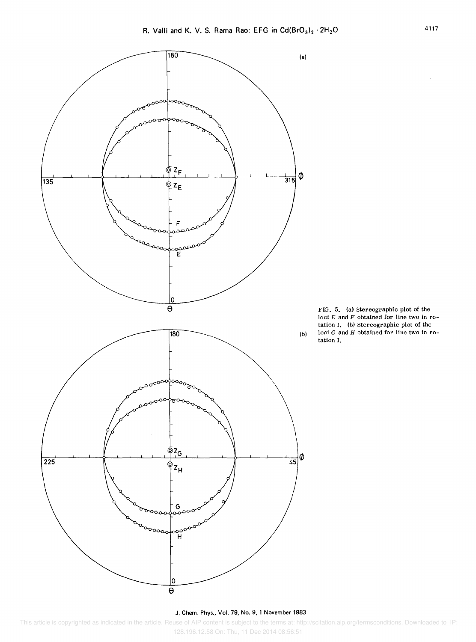

FIG. 5. (a) stereographic plot of the loci *E* and *F* obtained for line two in rotation I. (b) Stereographic plot of the loci G and *H* obtained for line two in rotation I.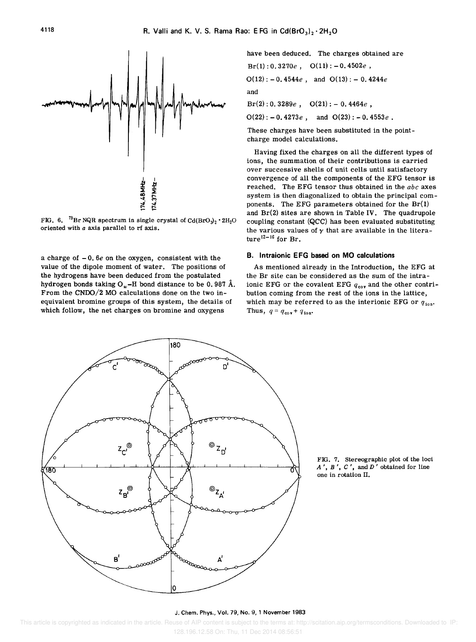FIG. 6. <sup>79</sup>Br NQR spectrum in single crystal of  $Cd(BrO_3)_2 \cdot 2H_2O$ oriented with *a* axis parallel to rf axis.

74.48 MHz 174.37 MHz

a charge of - O. *6e* on the oxygen, consistent with the value of the dipole moment of water. The positions of the hydrogens have been deduced from the postulated hydrogen bonds taking  $O_w$ -H bond distance to be 0.987 Å. From the CNOO/2 MO calculations done on the two inequivalent bromine groups of this system, the details of which follow, the net charges on bromine and oxygens

have been deduced. The charges obtained are Br(1) : O. *3270e,* 0(11): - O. *4502e ,* 

$$
B(r(1): 0.3270e, 0.011) = 0.4302e,
$$
  
 
$$
O(12): -0.4544e, and O(13): -0.4244e
$$
  
and  
 
$$
Br(2): 0.3289e, O(21): -0.4464e,
$$

 $O(22)$ : -0.4273*e*, and  $O(23)$ : -0.4553*e*.

These charges have been substituted in the pointcharge model calculations.

Having fixed the charges on all the different types of ions, the summation of their contributions is carried over successive shells of unit cells until satisfactory convergence of all the components of the EFG tensor is reached. The EFG tensor thus obtained in the *abc* axes system is then diagonalized to obtain the principal components. The EFG parameters obtained for the  $Br(1)$ and Br(2) sites are shown in Table IV. The quadrupole coupling constant (QCC) has been evaluated substituting the various values of  $\gamma$  that are available in the literature<sup>12–16</sup> for Br.

#### B. Intraionic EFG based on **MO** calculations

As mentioned already in the Introduction, the EFG at the Br site can be considered as the sum of the intraionic EFG or the covalent EFG  $q_{cov}$  and the other contribution coming from the rest of the ions in the lattice, which may be referred to as the interionic EFG or  $q_{ion}$ . Thus,  $q = q_{\text{cov}} + q_{\text{ion}}$ .



FIG. 7. Stereographic plot of the loci *A', B', C',* and *D'* obtained for line one in rotation II.

#### J. Chern. Phys., Vol. 79, No.9, 1 November 1983

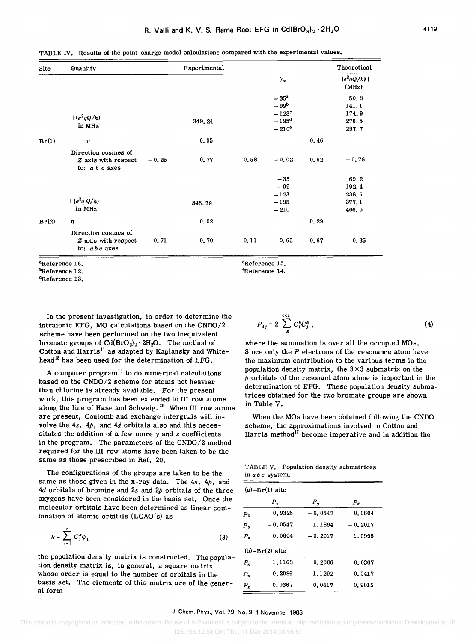dReference 15. "Reference 14.

TABLE IV. Results of the point-charge model calculations compared with the experimental values.

| Site  | Quantity                                                        |         | Experimental |         |                                                        |       | Theoretical                     |
|-------|-----------------------------------------------------------------|---------|--------------|---------|--------------------------------------------------------|-------|---------------------------------|
|       |                                                                 |         |              |         | $\gamma_{\infty}$                                      |       | $ (e^2qQ/h) $<br>(MHz)          |
|       | $ (e^2qQ/h) $<br>in MHz                                         |         | 349.24       |         | $-35^{2}$<br>$-99b$<br>$-123$ <sup>c</sup><br>$-195^d$ |       | 50.8<br>141.1<br>174.9<br>276.5 |
| Br(1) | η                                                               |         | 0.05         |         | $-210^{\circ}$                                         | 0.46  | 297.7                           |
|       | Direction cosines of<br>Z axis with respect<br>to: $a b c$ axes | $-0.25$ | 0, 77        | $-0.58$ | $-0.02$                                                | 0,62  | $-0.78$                         |
|       |                                                                 |         |              |         | $-35$<br>$-99$<br>$-123$                               |       | 69.2<br>192.4<br>238.6          |
|       | $ (e^2q Q/h) $<br>in MHz                                        |         | 348.79       |         | $-195$<br>$-210$                                       |       | 377.1<br>406.0                  |
| Br(2) | $\eta$                                                          |         | 0.02         |         |                                                        | 0, 29 |                                 |
|       | Direction cosines of<br>Z axis with respect<br>to: $abc$ axes   | 0, 71   | 0.70         | 0, 11   | 0,65                                                   | 0.67  | 0, 35                           |

aReference 16.

°Reference 13.

In the present investigation, in order to determine the intraionic EFG, MO calculations based on the  $\text{CNDO}/2$ scheme have been performed on the two inequivalent bromate groups of  $Cd(BrO<sub>3</sub>)<sub>2</sub> \cdot 2H<sub>2</sub>O$ . The method of Cotton and Harris<sup>17</sup> as adapted by Kaplansky and Whitehead<sup>18</sup> has been used for the determination of EFG.

A computer  $program<sup>19</sup>$  to do numerical calculations based on the CNDO/2 scheme for atoms not heavier than chlorine is already available. For the present work, this program has been extended to III row atoms along the line of Hase and Schweig. 20 When III row atoms are present, Coulomb and exchange intergrals will involve the *4s, 4p,* and 4d orbitals also and this necessitates the addition of a few more *y* and *z* coefficients in the program. The parameters of the CNDO/2 method required for the III row atoms have been taken to be the same as those prescribed in Ref. 20.

The configurations of the groups are taken to be the same as those given in the x-ray data. The *4s, 4p,* and *4d* orbitals of bromine and 2s and *2p* orbitals of the three oxygens have been considered in the basis set. Once the molecular orbitals have been determined as linear combination of atomic orbitals (LCAO's) as

$$
k = \sum_{i=1}^{n} C_i^k \phi_i \tag{3}
$$

the population density matrix is constructed. The population density matrix is, in general, a square matrix whose order is equal to the number of orbitals in the basis set. The elements of this matrix are of the general form

$$
P_{ij} = 2 \sum_{k}^{\text{occ}} C_i^k C_j^k \tag{4}
$$

where the summation is over all the occupied MOs. Since only the *P* electrons of the resonance atom have the maximum contribution to the various terms in the population density matrix, the  $3 \times 3$  submatrix on the *p* orbitals of the resonant atom alone is important in the determination of EFG. These population density submatrices obtained for the two bromate groups are shown in Table V.

When the MOs have been obtained following the CNDO scheme, the approximations involved in Cotton and Harris method<sup>17</sup> become imperative and in addition the

TABLE V. Population density submatrices in *abc* system.

|                      | $(a)-Br(1)$ site   |           |                  |
|----------------------|--------------------|-----------|------------------|
|                      | $P_{x}$            | $P_{v}$   | $P_{\mathbf{z}}$ |
| $P_{x}$              | 0.9326             | $-0.0547$ | 0.0604           |
| $P_{\mathbf{v}}$     | $-0.0547$          | 1,1894    | $-0.2017$        |
| $P_{\rm z}$          | 0.0604             | $-0.2017$ | 1.0995           |
|                      | $(b) - Br(2)$ site |           |                  |
| $P_{\rm r}$          | 1.1163             | 0.2086    | 0.0367           |
| Р.                   | 0.2086             | 1,1292    | 0.0417           |
| $P_{\boldsymbol{z}}$ | 0.0367             | 0.0417    | 0.9015           |

#### J. Chem. Phys., Vol. 79, No.9, 1 November 1983

Reference 12.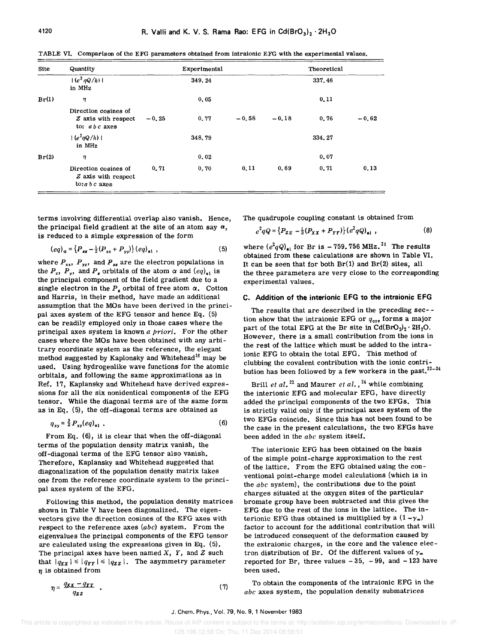| Site  | Quantity                                                      |         | Experimental |         |         | Theoretical |         |
|-------|---------------------------------------------------------------|---------|--------------|---------|---------|-------------|---------|
|       | $ (e^2 qQ/h) $<br>in MHz                                      |         | 349.24       |         |         | 337.46      |         |
| Br(1) | η                                                             |         | 0.05         |         |         | 0, 11       |         |
|       | Direction cosines of<br>Z axis with respect<br>to: $abc$ axes | $-0.25$ | 0.77         | $-0.58$ | $-0.18$ | 0.76        | $-0.62$ |
|       | $ (e^2qQ/h) $<br>in MHz                                       |         | 348.79       |         |         | 334.27      |         |
| Br(2) | η                                                             |         | 0,02         |         |         | 0,07        |         |
|       | Direction cosines of<br>Z axis with respect<br>$to:abc$ axes  | 0.71    | 0, 70        | 0, 11   | 0.69    | 0, 71       | 0,13    |

TABLE VI. Comparison of the EFG parameters obtained from intraionic EFG with the experimental values.

terms involving differential overlap also vanish. Hence, the principal field gradient at the site of an atom say  $\alpha$ , is reduced to a simple expression of the form

$$
(eq)_{\alpha} = \{P_{zz} - \frac{1}{2}(P_{xx} + P_{yy})\} (eq)_{\alpha 1} ,
$$
 (5)

where  $P_{xx}$ ,  $P_{yy}$ , and  $P_{zz}$  are the electron populations in the  $P_x$ ,  $P_y$ , and  $P_z$  orbitals of the atom  $\alpha$  and  $\left( {eq} \right)_{e1}$  is the principal component of the field gradient due to a single electron in the  $P_{\sharp}$  orbital of free atom  $\alpha$ . Cotton and Harris, in their method, have made an additional assumption that the MOs have been derived in the principal axes system of the EFG tensor and hence Eq. (5) can be readily employed only in those cases where the principal axes system is known *a priori.* For the other cases where the MOs have been obtained with any arbitrary coordinate system as the reference, the elegant method suggested by Kaplonsky and Whitehead<sup>18</sup> may be used. Using hydrogenlike wave functions for the atomic orbitals, and following the same approximations as in Ref. 17, Kaplansky and Whitehead have derived expressions for all the six nonidentical components of the EFG tensor. While the diagonal terms are of the same form as in Eq. (5), the off-diagonal terms are obtained as

$$
q_{xy} = \frac{3}{2} P_{xy} (eq)_{e1} \tag{6}
$$

From Eq. (6), it is clear that when the off-diagonal terms of the population density matrix vanish, the off-diagonal terms of the EFG tensor also vanish. Therefore, Kaplansky and Whitehead suggested that diagonalization of the population density matrix takes one from the reference coordinate system to the principal axes system of the EFG.

Following this method, the population density matrices shown in Table V have been diagonalized. The eigenvectors give the direction cosines of the EFG axes with respect to the reference axes *(abc)* system. From the eigenvalues the principal components of the EFG tensor are calculated using the expressions given in Eq. (5). The principal axes have been named X, *Y,* and *Z* such that  $|q_{xx}| \leq |q_{rr}| \leq |q_{zz}|$ . The asymmetry parameter  $\eta$  is obtained from

The quadrupole coupling constant is obtained from

$$
e^{2}qQ = \{P_{ZZ} - \frac{1}{2}(P_{XX} + P_{YY})\} (e^{2}qQ)_{\bullet 1} ,
$$
 (8)

where  $(e^2qQ)_{e1}$  for Br is  $-759$ . 756 MHz.<sup>21</sup> The results obtained from these calculations are shown in Table VI. It can be seen that for both  $Br(1)$  and  $Br(2)$  sites, all the three parameters are very close to the corresponding experimental values.

#### C. Addition of the interionic EFG to the intraionic EFG

The results that are described in the preceding sec- tion show that the intraionic EFG or  $q_{cor}$  forms a major part of the total EFG at the Br site in  $Cd(BrO<sub>3</sub>)<sub>2</sub> \cdot 2H<sub>2</sub>O$ . However, there is a small contribution from the ions in the rest of the lattice which must be added to the intraionic EFG to obtain the total EFG. This method of clubbing the covalent contribution with the ionic contribution has been followed by a few workers in the past. $^{22-24}$ 

Brill *et al.*<sup>22</sup> and Maurer *et al.*,<sup>24</sup> while combining the interionic EFG and molecular EFG, have directly added the principal components of the two EFGs. This is strictly valid only if the principal axes system of the two EFGs coincide. Since this has not been found to be the case in the present calculations, the two EFGs have been added in the *abc* system itself.

The interionic EFG has been obtained on the basis of the simple point-charge approximation to the rest of the lattice. From the EFG obtained USing the conventional point-charge model calculations (which is in the *abc* system), the contributions due to the point charges situated at the oxygen sites of the particular bromate group have been subtracted and this gives the EFG due to the rest of the ions in the lattice. The interionic EFG thus obtained is multiplied by a  $(1-\gamma_{\infty})$ factor to account for the additional contribution that will be introduced consequent of the deformation caused by the extraionic charges, in the core and the valence electron distribution of Br. Of the different values of  $\gamma_{\infty}$ reported for Br, three values  $-35$ ,  $-99$ , and  $-123$  have been used.

 $n = \frac{q_{xx} - q_{yy}}{q_{xx}}$ *qzz* 

To obtain the components of the intraionic EFG in the *abc* axes system, the population density submatrices

( 7)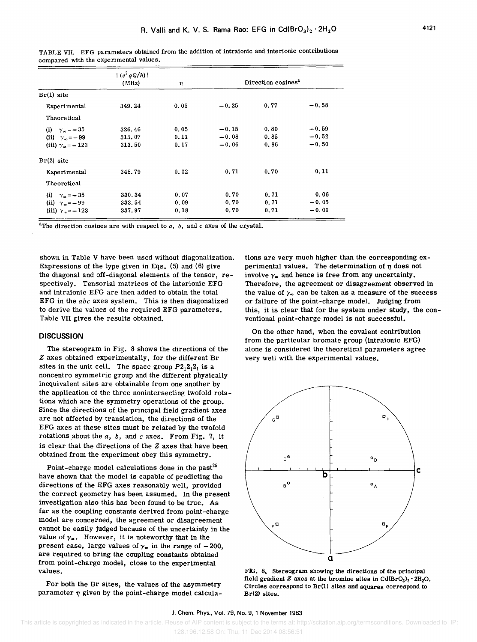|                                | $ (e^2 qQ/h) $<br>(MHz) | η     | Direction cosines <sup>a</sup> |      |         |
|--------------------------------|-------------------------|-------|--------------------------------|------|---------|
| $Br(1)$ site                   |                         |       |                                |      |         |
| Experimental                   | 349.24                  | 0.05  | $-0.25$                        | 0.77 | $-0.58$ |
| Theoretical                    |                         |       |                                |      |         |
| (i) $\gamma_{\infty} = -35$    | 326.46                  | 0.05  | $-0.15$                        | 0.80 | $-0.59$ |
| (ii) $\gamma_{\infty} = -99$   | 315.07                  | 0.11  | $-0.08$                        | 0.85 | $-0.52$ |
| (iii) $\gamma_m = -123$        | 313.50                  | 0.17  | $-0.06$                        | 0.86 | $-0.50$ |
| $Br(2)$ site                   |                         |       |                                |      |         |
| Experimental                   | 348.79                  | 0.02  | 0.71                           | 0.70 | 0.11    |
| Theoretical                    |                         |       |                                |      |         |
| (i) $\gamma_m = -35$           | 330.34                  | 0.07  | 0.70                           | 0.71 | 0.06    |
| (ii) $\gamma_{\infty} = -99$   | 333.54                  | 0,09  | 0.70                           | 0.71 | $-0.05$ |
| (iii) $\gamma_{\infty} = -123$ | 337.97                  | 0, 18 | 0.70                           | 0.71 | $-0.09$ |

TABLE VII. EFG parameters obtained from the addition of intraionic and interionic contributions compared with the experimental values.

<sup>a</sup>The direction cosines are with respect to  $a$ ,  $b$ , and  $c$  axes of the crystal.

shown in Table V have been used without diagonalization. Expressions of the type given in Eqs. (5) and (6) give the diagonal and off-diagonal elements of the tensor, respectively. Tensorial matrices of the interionic EFG and intraionic EFG are then added to obtain the total EFG in the *abc* axes system. This is then diagonalized to derive the values of the required EFG parameters. Table VII gives the results obtained.

#### **DISCUSSION**

The stereogram in Fig. 8 shows the directions of the *Z* axes obtained experimentally, for the different Br sites in the unit cell. The space group  $P2_12_12_1$  is a noncentro symmetric group and the different physically inequivalent sites are obtainable from one another by the application of the three nonintersecting twofold rotations which are the symmetry operations of the group. Since the directions of the principal field gradient axes are not affected by translation, the directions of the EFG axes at these sites must be related by the twofold rotations about the *a, b,* and *c* axes. From Fig. 7, it is clear that the directions of the *Z* axes that have been obtained from the experiment obey this symmetry.

Point-charge model calculations done in the past<sup>25</sup> have shown that the model is capable of predicting the directions of the EFG axes reasonably well, provided the correct geometry has been assumed. In the present investigation also this has been found to be true. As far as the coupling constants derived from point-charge model are concerned, the agreement or disagreement cannot be easily judged because of the uncertainty in the value of  $\gamma_{\infty}$ . However, it is noteworthy that in the present case, large values of  $\gamma_{\infty}$  in the range of - 200, are required to bring the coupling constants obtained from point-charge model, close to the experimental values.

For both the Br sites, the values of the asymmetry parameter  $\eta$  given by the point-charge model calculations are very much higher than the corresponding experimental values. The determination of  $\eta$  does not involve  $\gamma_{\infty}$  and hence is free from any uncertainty. Therefore, the agreement or disagreement observed in the value of  $\gamma_{\infty}$  can be taken as a measure of the success or failure of the point-charge model. Judging from this, it is clear that for the system under study, the conventional point-charge model is not successful.

On the other hand, when the covalent contribution from the particular bromate group (intraionic EFG) alone is considered the theoretical parameters agree very well with the experimental values.



FIG. 8, Stereogram showing the directions of the principal field gradient  $Z$  axes at the bromine sites in  $Cd(BrO<sub>3</sub>)<sub>2</sub> \cdot 2H<sub>2</sub>O$ . Circles correspond to Br(1) sites and squares correspond to Br(2) sites.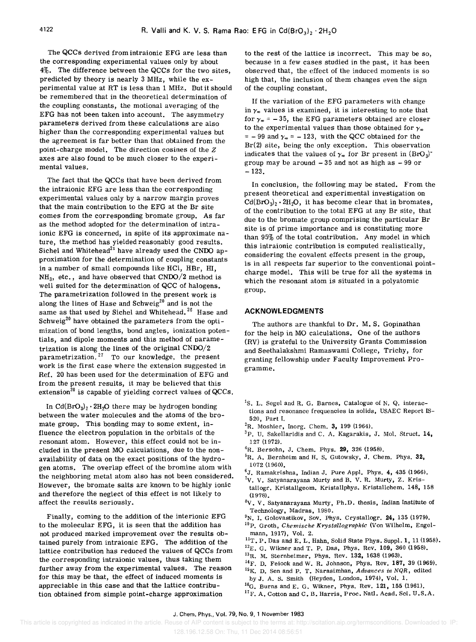The QCCs derived from intraionic EFG are less than the corresponding experimental values only by about 4%. The difference between the QCCs for the two sites, predicted by theory is nearly 3 MHz, while the experimental value at RT is less than 1 MHz. But it should be remembered that in the theoretical determination of the coupling constants, the motional averaging of the EFG has not been taken into account. The asymmetry parameters derived from these calculations are also higher than the corresponding experimental values but the agreement is far better than that obtained from the point-charge mOdel. The direction cosines of the *Z*  axes are also found to be much closer to the experimental values.

The fact that the QCCs that have been derived from the intraionic EFG are less than the corresponding experimental values only by a narrow margin proves that the main contribution to the EFG at the Br site comes from the corresponding bromate group. As far as the method adopted for the determination of intraionic EFG is concerned, in spite of its approximate nature, the method has yielded reasonably good results. Sichel and Whitehead<sup>21</sup> have already used the CNDO approximation for the determination of coupling constants in a number of small compounds like HCI, HBr, HI,  $NH_3$ , etc., and have observed that  $\mathrm{CNDO}/2$  method is well suited for the determination of QCC of halogens. The parametrization followed in the present work is along the lines of Hase and Schweig<sup>20</sup> and is not the same as that used by Sichel and Whitehead.<sup>26</sup> Hase and Schweig<sup>20</sup> have obtained the parameters from the optimization of bond lengths, bond angles, ionization potentials, and dipole moments and this method of parametrization is along the lines of the original CNDO/2 parametrization.<sup>27</sup> To our knowledge, the present work is the first case where the extension suggested in Ref. 20 has been used for the determination of EFG and from the present results, it may be believed that this extension<sup>20</sup> is capable of yielding correct values of  $QCCs$ .

In  $Cd(BrO<sub>3</sub>)<sub>2</sub> \cdot 2H<sub>2</sub>O$  there may be hydrogen bonding between the water molecules and the atoms of the bromate group. This bonding may to some extent, influence the electron population in the orbitals of the resonant atom. However, this effect could not be included in the present MO calculations, due to the nonavailability of data on the exact positions of the hydrogen atoms. The overlap effect of the bromine atom with the neighboring metal atom also has not been considered. However, the bromate salts are known to be highly ionic and therefore the neglect of this effect is not likely to affect the results seriously. .

Finally, coming to the addition of the interionic EFG to the molecular EFG, it is seen that the addition has not produced marked improvement over the results obtained purely from intraionic EFG. The addition of the lattice contribution has reduced the values of QCCs from the corresponding intraionic values, thus taking them further away from the experimental values. The reason for this may be that, the effect of induced moments is appreciable in this case and that the lattice contribution obtained from simple point-charge approximation

to the rest of the lattice is incorrect. This may be so, because in a few cases studied in the past, it has been observed that, the effect of the induced moments is so high that, the inclusion of them changes even the sign of the coupling constant.

If the variation of the EFG parameters with change in  $\gamma_{\infty}$  values is examined, it is interesting to note that for  $\gamma_{\infty}$  = -35, the EFG parameters obtained are closer to the experimental values than those obtained for  $\gamma_{\infty}$  $= -99$  and  $\gamma_{\infty} = -123$ , with the QCC obtained for the  $Br(2)$  site, being the only exception. This observation indicates that the values of  $\gamma_*$  for Br present in  $(BrO_3)^*$ group may be around  $-35$  and not as high as  $-99$  or  $-123.$ 

In conclusion, the following may be stated. From the present theoretical and experimental inVestigation on  $Cd(BrO<sub>3</sub>)<sub>2</sub> \cdot 2H<sub>2</sub>O$ , it has become clear that in bromates, of the contribution to the total EFG at any Br site, that due to the bromate group comprising the particular Br site is of prime importance and is constituting more than 95% of the total contribution. Any model in which this intraionic contribution is computed realistically, considering the covalent effects present in the group, is in all respects far superior to the conventional pointcharge model. This will be true for all the systems in which the resonant atom is situated in a polyatomic group.

#### **ACKNOWLEDGMENTS**

The authors are thankful to Dr. M. S. Gopinathan for the help in MO calculations. One of the authors (RV) is grateful to the University Grants Commission and Seethalakshmi Ramaswami College, Trichy, for granting fellowship under Faculty Improvement Programme.

- <sup>1</sup>S. L. Segel and R. G. Barnes, Catalogue of N. Q. interactions and resonance frequencies in solids, USAEC Report IS-520, Part I.
- ${}^{2}$ R. Moshier, Inorg. Chem. 3, 199 (1964).
- <sup>3</sup>P. U. Sakellaridis and C. A. Kagarakis, J. Mol. Struct. 14, 127 (1972).
- ${}^{4}$ R. Bersohn, J. Chem. Phys. 29, 326 (1958).
- ${}^{5}R$ . A. Bernheim and H. S. Gutowsky, J. Chem. Phys. 32, 1072 (1960),
- 6J. Ramakrishna, Indian J. Pure Appl. Phys. 4, 435 (1966).
- ${}^{7}V$ . V. Satyanarayana Murty and B. V. R. Murty, Z. Kristallogr. Kristallgeom. Kristallphys. Kristallchem. 148, 158 (1978).
- $8V$ . V. Satyanarayana Murty, Ph.D. thesis, Indian Institute of Technology, Madras, 1980.
- $9N.$  I. Golovastikov, Sov. Phys. Crystallogr. 24, 135 (1979).
- <sup>10</sup>P. Groth, *Chemische Krystallographic* (Von Wilhelm, Engelmann, 1917), Vol. 2.
- $^{11}$ T. P. Das and E. L. Hahn, Solid State Phys. Suppl. 1, 11 (1958).
- $^{12}E$ . G. Wikner and T. P. Das, Phys. Rev. 109, 360 (1958).
- <sup>13</sup>R. M. Sternheimer, Phys. Rev. 132, 1638 (1963).
- $14$ F. D. Feiock and W. R. Johnson, Phys. Rev. 187, 39 (1969).
- 15K. D. Sen and P. T. Narasimhan, *Advances in NQR,* edited
- by J. A. S. Smith (Heyden, London, 1974), Vol. 1.  $^{16}$ G. Burns and E. G. Wikner, Phys. Rev. 121, 155 (1961).
- 
- <sup>17</sup>F. A. Cotton and C. B. Harris, Proc. Natl. Acad. Sci. U.S.A.